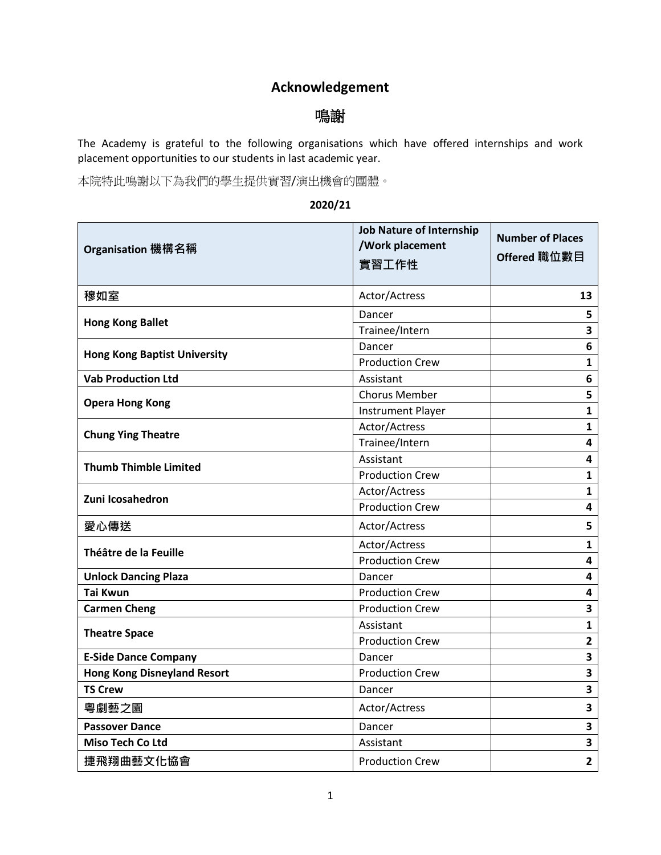## **Acknowledgement**

## 鳴謝

The Academy is grateful to the following organisations which have offered internships and work placement opportunities to our students in last academic year.

本院特此鳴謝以下為我們的學生提供實習/演出機會的團體。

## **2020/21**

| Organisation 機構名稱                   | <b>Job Nature of Internship</b><br>/Work placement<br>實習工作性 | <b>Number of Places</b><br>Offered 職位數目 |
|-------------------------------------|-------------------------------------------------------------|-----------------------------------------|
| 穆如室                                 | Actor/Actress                                               | 13                                      |
| <b>Hong Kong Ballet</b>             | Dancer                                                      | 5                                       |
|                                     | Trainee/Intern                                              | 3                                       |
| <b>Hong Kong Baptist University</b> | Dancer                                                      | 6                                       |
|                                     | <b>Production Crew</b>                                      | $\mathbf{1}$                            |
| <b>Vab Production Ltd</b>           | Assistant                                                   | 6                                       |
| <b>Opera Hong Kong</b>              | <b>Chorus Member</b>                                        | 5                                       |
|                                     | <b>Instrument Player</b>                                    | $\mathbf{1}$                            |
| <b>Chung Ying Theatre</b>           | Actor/Actress                                               | $\mathbf{1}$                            |
|                                     | Trainee/Intern                                              | 4                                       |
| <b>Thumb Thimble Limited</b>        | Assistant                                                   | $\overline{\mathbf{4}}$                 |
|                                     | <b>Production Crew</b>                                      | 1                                       |
| Zuni Icosahedron                    | Actor/Actress                                               | $\mathbf{1}$                            |
|                                     | <b>Production Crew</b>                                      | 4                                       |
| 愛心傳送                                | Actor/Actress                                               | 5                                       |
| Théâtre de la Feuille               | Actor/Actress                                               | $\mathbf{1}$                            |
|                                     | <b>Production Crew</b>                                      | $\overline{\mathbf{4}}$                 |
| <b>Unlock Dancing Plaza</b>         | Dancer                                                      | 4                                       |
| <b>Tai Kwun</b>                     | <b>Production Crew</b>                                      | $\overline{\mathbf{4}}$                 |
| <b>Carmen Cheng</b>                 | <b>Production Crew</b>                                      | $\overline{\mathbf{3}}$                 |
| <b>Theatre Space</b>                | Assistant                                                   | $\mathbf{1}$                            |
|                                     | <b>Production Crew</b>                                      | $\mathbf{2}$                            |
| <b>E-Side Dance Company</b>         | Dancer                                                      | $\overline{\mathbf{3}}$                 |
| <b>Hong Kong Disneyland Resort</b>  | <b>Production Crew</b>                                      | 3                                       |
| <b>TS Crew</b>                      | Dancer                                                      | $\overline{\mathbf{3}}$                 |
| 粵劇藝之園                               | Actor/Actress                                               | 3                                       |
| <b>Passover Dance</b>               | Dancer                                                      | $\overline{\mathbf{3}}$                 |
| <b>Miso Tech Co Ltd</b>             | Assistant                                                   | 3                                       |
| 捷飛翔曲藝文化協會                           | <b>Production Crew</b>                                      | $\overline{\mathbf{2}}$                 |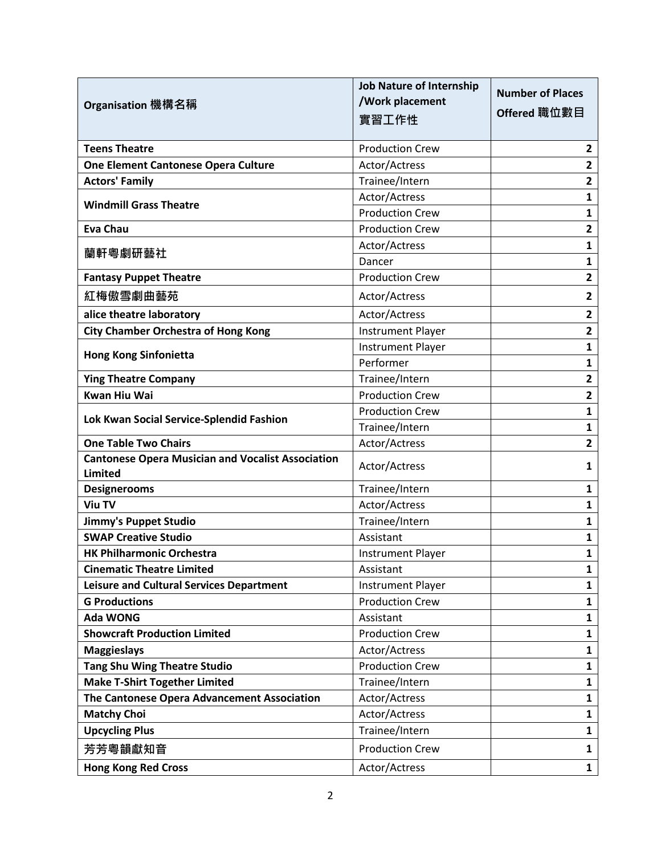|                                                          | <b>Job Nature of Internship</b> | <b>Number of Places</b> |
|----------------------------------------------------------|---------------------------------|-------------------------|
| Organisation 機構名稱                                        | /Work placement                 | Offered 職位數目            |
|                                                          | 實習工作性                           |                         |
| <b>Teens Theatre</b>                                     | <b>Production Crew</b>          | $\overline{2}$          |
| One Element Cantonese Opera Culture                      | Actor/Actress                   | $\mathbf{2}$            |
| <b>Actors' Family</b>                                    | Trainee/Intern                  | $\mathbf{2}$            |
| <b>Windmill Grass Theatre</b>                            | Actor/Actress                   | 1                       |
|                                                          | <b>Production Crew</b>          | 1                       |
| <b>Eva Chau</b>                                          | <b>Production Crew</b>          | $\mathbf{2}$            |
| 蘭軒粵劇研藝社                                                  | Actor/Actress                   | 1                       |
|                                                          | Dancer                          | 1                       |
| <b>Fantasy Puppet Theatre</b>                            | <b>Production Crew</b>          | $\overline{2}$          |
| 紅梅傲雪劇曲藝苑                                                 | Actor/Actress                   | 2                       |
| alice theatre laboratory                                 | Actor/Actress                   | $\overline{2}$          |
| <b>City Chamber Orchestra of Hong Kong</b>               | <b>Instrument Player</b>        | $\overline{\mathbf{2}}$ |
| <b>Hong Kong Sinfonietta</b>                             | <b>Instrument Player</b>        | 1                       |
|                                                          | Performer                       | 1                       |
| <b>Ying Theatre Company</b>                              | Trainee/Intern                  | $\overline{\mathbf{2}}$ |
| <b>Kwan Hiu Wai</b>                                      | <b>Production Crew</b>          | $\overline{2}$          |
| Lok Kwan Social Service-Splendid Fashion                 | <b>Production Crew</b>          | $\mathbf{1}$            |
|                                                          | Trainee/Intern                  | $\mathbf{1}$            |
| <b>One Table Two Chairs</b>                              | Actor/Actress                   | $\mathbf{2}$            |
| <b>Cantonese Opera Musician and Vocalist Association</b> | Actor/Actress                   | 1                       |
| <b>Limited</b>                                           |                                 |                         |
| <b>Designerooms</b>                                      | Trainee/Intern                  | 1                       |
| <b>Viu TV</b>                                            | Actor/Actress                   | $\mathbf{1}$            |
| Jimmy's Puppet Studio                                    | Trainee/Intern                  | $\mathbf{1}$            |
| <b>SWAP Creative Studio</b>                              | Assistant                       | $\mathbf{1}$            |
| <b>HK Philharmonic Orchestra</b>                         | <b>Instrument Player</b>        | 1                       |
| <b>Cinematic Theatre Limited</b>                         | Assistant                       | $\mathbf{1}$            |
| <b>Leisure and Cultural Services Department</b>          | <b>Instrument Player</b>        | 1                       |
| <b>G Productions</b>                                     | <b>Production Crew</b>          | 1                       |
| <b>Ada WONG</b>                                          | Assistant                       | 1                       |
| <b>Showcraft Production Limited</b>                      | <b>Production Crew</b>          | 1                       |
| <b>Maggieslays</b>                                       | Actor/Actress                   | 1                       |
| <b>Tang Shu Wing Theatre Studio</b>                      | <b>Production Crew</b>          | 1                       |
| <b>Make T-Shirt Together Limited</b>                     | Trainee/Intern                  | 1                       |
| The Cantonese Opera Advancement Association              | Actor/Actress                   | 1                       |
| <b>Matchy Choi</b>                                       | Actor/Actress                   | 1                       |
| <b>Upcycling Plus</b>                                    | Trainee/Intern                  | $\mathbf{1}$            |
| 芳芳粵韻獻知音                                                  | <b>Production Crew</b>          | 1                       |
| <b>Hong Kong Red Cross</b>                               | Actor/Actress                   | $\mathbf{1}$            |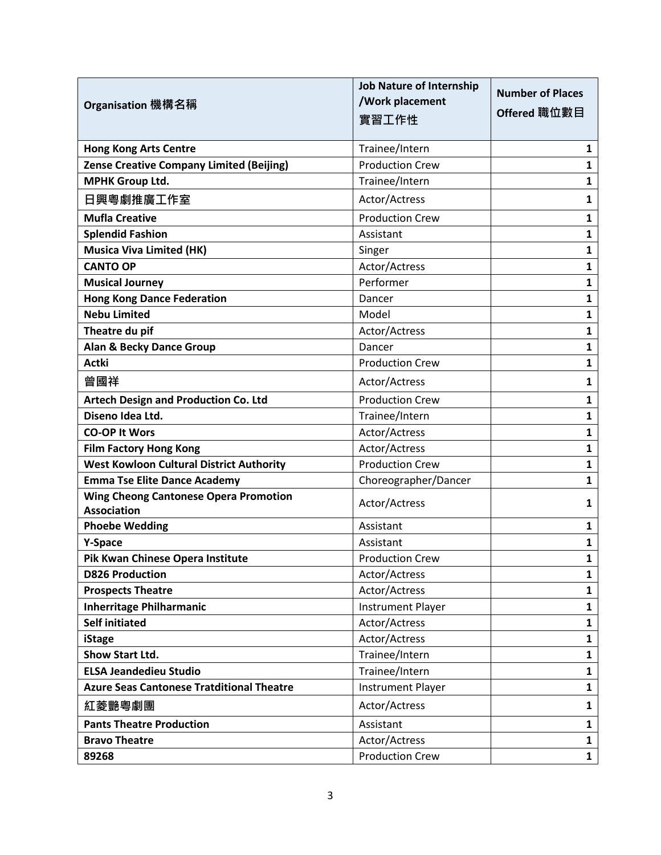|                                                                    | <b>Job Nature of Internship</b> | <b>Number of Places</b> |
|--------------------------------------------------------------------|---------------------------------|-------------------------|
| Organisation 機構名稱                                                  | /Work placement                 |                         |
|                                                                    | 實習工作性                           | Offered 職位數目            |
| <b>Hong Kong Arts Centre</b>                                       | Trainee/Intern                  | 1                       |
| <b>Zense Creative Company Limited (Beijing)</b>                    | <b>Production Crew</b>          | 1                       |
| <b>MPHK Group Ltd.</b>                                             | Trainee/Intern                  | 1                       |
|                                                                    |                                 |                         |
| 日興粵劇推廣工作室                                                          | Actor/Actress                   | 1                       |
| <b>Mufla Creative</b>                                              | <b>Production Crew</b>          | 1                       |
| <b>Splendid Fashion</b>                                            | Assistant                       | 1                       |
| <b>Musica Viva Limited (HK)</b>                                    | Singer                          | 1                       |
| <b>CANTO OP</b>                                                    | Actor/Actress                   | 1                       |
| <b>Musical Journey</b>                                             | Performer                       | 1                       |
| <b>Hong Kong Dance Federation</b>                                  | Dancer                          | 1                       |
| <b>Nebu Limited</b>                                                | Model                           | 1                       |
| Theatre du pif                                                     | Actor/Actress                   | 1                       |
| <b>Alan &amp; Becky Dance Group</b>                                | Dancer                          | 1                       |
| <b>Actki</b>                                                       | <b>Production Crew</b>          | 1                       |
| 曾國祥                                                                | Actor/Actress                   | 1                       |
| <b>Artech Design and Production Co. Ltd</b>                        | <b>Production Crew</b>          | 1                       |
| Diseno Idea Ltd.                                                   | Trainee/Intern                  | $\mathbf{1}$            |
| <b>CO-OP It Wors</b>                                               | Actor/Actress                   | 1                       |
| <b>Film Factory Hong Kong</b>                                      | Actor/Actress                   | 1                       |
| <b>West Kowloon Cultural District Authority</b>                    | <b>Production Crew</b>          | 1                       |
| <b>Emma Tse Elite Dance Academy</b>                                | Choreographer/Dancer            | 1                       |
| <b>Wing Cheong Cantonese Opera Promotion</b><br><b>Association</b> | Actor/Actress                   | 1                       |
| <b>Phoebe Wedding</b>                                              | Assistant                       | 1                       |
| Y-Space                                                            | Assistant                       | 1                       |
| Pik Kwan Chinese Opera Institute                                   | <b>Production Crew</b>          | 1                       |
| <b>D826 Production</b>                                             | Actor/Actress                   | $\mathbf{1}$            |
| <b>Prospects Theatre</b>                                           | Actor/Actress                   | $\mathbf{1}$            |
| <b>Inherritage Philharmanic</b>                                    | <b>Instrument Player</b>        | 1                       |
| <b>Self initiated</b>                                              | Actor/Actress                   | 1                       |
| iStage                                                             | Actor/Actress                   | 1                       |
| <b>Show Start Ltd.</b>                                             | Trainee/Intern                  | $\mathbf{1}$            |
| <b>ELSA Jeandedieu Studio</b>                                      | Trainee/Intern                  | $\mathbf{1}$            |
| <b>Azure Seas Cantonese Tratditional Theatre</b>                   | <b>Instrument Player</b>        | $\mathbf{1}$            |
| 紅菱艷粵劇團                                                             | Actor/Actress                   | $\mathbf{1}$            |
| <b>Pants Theatre Production</b>                                    | Assistant                       | $\mathbf{1}$            |
| <b>Bravo Theatre</b>                                               | Actor/Actress                   | 1                       |
| 89268                                                              | <b>Production Crew</b>          | $\mathbf{1}$            |